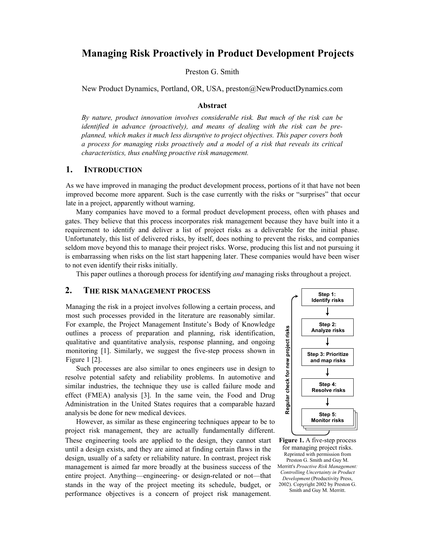# **Managing Risk Proactively in Product Development Projects**

Preston G. Smith

New Product Dynamics, Portland, OR, USA, preston@NewProductDynamics.com

#### **Abstract**

*By nature, product innovation involves considerable risk. But much of the risk can be identified in advance (proactively), and means of dealing with the risk can be preplanned, which makes it much less disruptive to project objectives. This paper covers both a process for managing risks proactively and a model of a risk that reveals its critical characteristics, thus enabling proactive risk management.* 

## **1. INTRODUCTION**

As we have improved in managing the product development process, portions of it that have not been improved become more apparent. Such is the case currently with the risks or "surprises" that occur late in a project, apparently without warning.

Many companies have moved to a formal product development process, often with phases and gates. They believe that this process incorporates risk management because they have built into it a requirement to identify and deliver a list of project risks as a deliverable for the initial phase. Unfortunately, this list of delivered risks, by itself, does nothing to prevent the risks, and companies seldom move beyond this to manage their project risks. Worse, producing this list and not pursuing it is embarrassing when risks on the list start happening later. These companies would have been wiser to not even identify their risks initially.

This paper outlines a thorough process for identifying *and* managing risks throughout a project.

### **2. THE RISK MANAGEMENT PROCESS**

Managing the risk in a project involves following a certain process, and most such processes provided in the literature are reasonably similar. For example, the Project Management Institute's Body of Knowledge outlines a process of preparation and planning, risk identification, qualitative and quantitative analysis, response planning, and ongoing monitoring [1]. Similarly, we suggest the five-step process shown in Figure 1 [2].

Such processes are also similar to ones engineers use in design to resolve potential safety and reliability problems. In automotive and similar industries, the technique they use is called failure mode and effect (FMEA) analysis [3]. In the same vein, the Food and Drug Administration in the United States requires that a comparable hazard analysis be done for new medical devices.

However, as similar as these engineering techniques appear to be to project risk management, they are actually fundamentally different. These engineering tools are applied to the design, they cannot start until a design exists, and they are aimed at finding certain flaws in the design, usually of a safety or reliability nature. In contrast, project risk management is aimed far more broadly at the business success of the entire project. Anything—engineering- or design-related or not—that stands in the way of the project meeting its schedule, budget, or performance objectives is a concern of project risk management.



**Figure 1.** A five-step process for managing project risks. Reprinted with permission from Preston G. Smith and Guy M. Merritt's *Proactive Risk Management: Controlling Uncertainty in Product Development* (Productivity Press, 2002). Copyright 2002 by Preston G. Smith and Guy M. Merritt.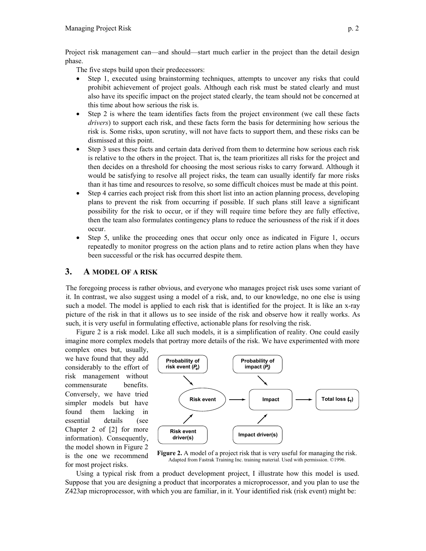Project risk management can—and should—start much earlier in the project than the detail design phase.

The five steps build upon their predecessors:

- Step 1, executed using brainstorming techniques, attempts to uncover any risks that could prohibit achievement of project goals. Although each risk must be stated clearly and must also have its specific impact on the project stated clearly, the team should not be concerned at this time about how serious the risk is.
- Step 2 is where the team identifies facts from the project environment (we call these facts *drivers*) to support each risk, and these facts form the basis for determining how serious the risk is. Some risks, upon scrutiny, will not have facts to support them, and these risks can be dismissed at this point.
- Step 3 uses these facts and certain data derived from them to determine how serious each risk is relative to the others in the project. That is, the team prioritizes all risks for the project and then decides on a threshold for choosing the most serious risks to carry forward. Although it would be satisfying to resolve all project risks, the team can usually identify far more risks than it has time and resources to resolve, so some difficult choices must be made at this point.
- Step 4 carries each project risk from this short list into an action planning process, developing plans to prevent the risk from occurring if possible. If such plans still leave a significant possibility for the risk to occur, or if they will require time before they are fully effective, then the team also formulates contingency plans to reduce the seriousness of the risk if it does occur.
- Step 5, unlike the proceeding ones that occur only once as indicated in Figure 1, occurs repeatedly to monitor progress on the action plans and to retire action plans when they have been successful or the risk has occurred despite them.

## **3. A MODEL OF A RISK**

The foregoing process is rather obvious, and everyone who manages project risk uses some variant of it. In contrast, we also suggest using a model of a risk, and, to our knowledge, no one else is using such a model. The model is applied to each risk that is identified for the project. It is like an x-ray picture of the risk in that it allows us to see inside of the risk and observe how it really works. As such, it is very useful in formulating effective, actionable plans for resolving the risk.

Figure 2 is a risk model. Like all such models, it is a simplification of reality. One could easily imagine more complex models that portray more details of the risk. We have experimented with more

complex ones but, usually, we have found that they add considerably to the effort of risk management without commensurate benefits. Conversely, we have tried simpler models but have found them lacking in essential details (see Chapter 2 of [2] for more information). Consequently, the model shown in Figure 2 is the one we recommend for most project risks.



**Figure 2.** A model of a project risk that is very useful for managing the risk. Adapted from Fastrak Training Inc. training material. Used with permission. ©1996.

Using a typical risk from a product development project, I illustrate how this model is used. Suppose that you are designing a product that incorporates a microprocessor, and you plan to use the Z423ap microprocessor, with which you are familiar, in it. Your identified risk (risk event) might be: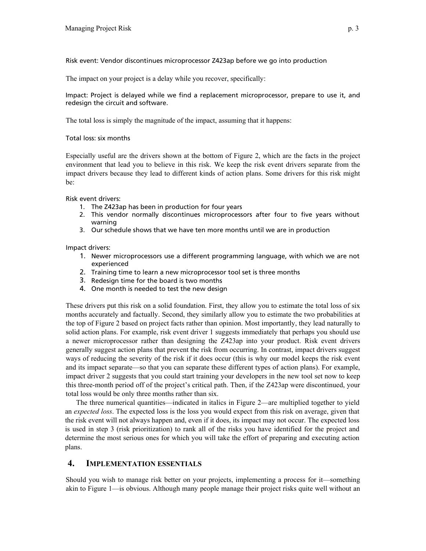### Risk event: Vendor discontinues microprocessor Z423ap before we go into production

The impact on your project is a delay while you recover, specifically:

Impact: Project is delayed while we find a replacement microprocessor, prepare to use it, and redesign the circuit and software.

The total loss is simply the magnitude of the impact, assuming that it happens:

Total loss: six months

Especially useful are the drivers shown at the bottom of Figure 2, which are the facts in the project environment that lead you to believe in this risk. We keep the risk event drivers separate from the impact drivers because they lead to different kinds of action plans. Some drivers for this risk might be:

Risk event drivers:

- 1. The Z423ap has been in production for four years
- 2. This vendor normally discontinues microprocessors after four to five years without warning
- 3. Our schedule shows that we have ten more months until we are in production

Impact drivers:

- 1. Newer microprocessors use a different programming language, with which we are not experienced
- 2. Training time to learn a new microprocessor tool set is three months
- 3. Redesign time for the board is two months
- 4. One month is needed to test the new design

These drivers put this risk on a solid foundation. First, they allow you to estimate the total loss of six months accurately and factually. Second, they similarly allow you to estimate the two probabilities at the top of Figure 2 based on project facts rather than opinion. Most importantly, they lead naturally to solid action plans. For example, risk event driver 1 suggests immediately that perhaps you should use a newer microprocessor rather than designing the Z423ap into your product. Risk event drivers generally suggest action plans that prevent the risk from occurring. In contrast, impact drivers suggest ways of reducing the severity of the risk if it does occur (this is why our model keeps the risk event and its impact separate—so that you can separate these different types of action plans). For example, impact driver 2 suggests that you could start training your developers in the new tool set now to keep this three-month period off of the project's critical path. Then, if the Z423ap were discontinued, your total loss would be only three months rather than six.

The three numerical quantities—indicated in italics in Figure 2—are multiplied together to yield an *expected loss*. The expected loss is the loss you would expect from this risk on average, given that the risk event will not always happen and, even if it does, its impact may not occur. The expected loss is used in step 3 (risk prioritization) to rank all of the risks you have identified for the project and determine the most serious ones for which you will take the effort of preparing and executing action plans.

# **4. IMPLEMENTATION ESSENTIALS**

Should you wish to manage risk better on your projects, implementing a process for it—something akin to Figure 1—is obvious. Although many people manage their project risks quite well without an